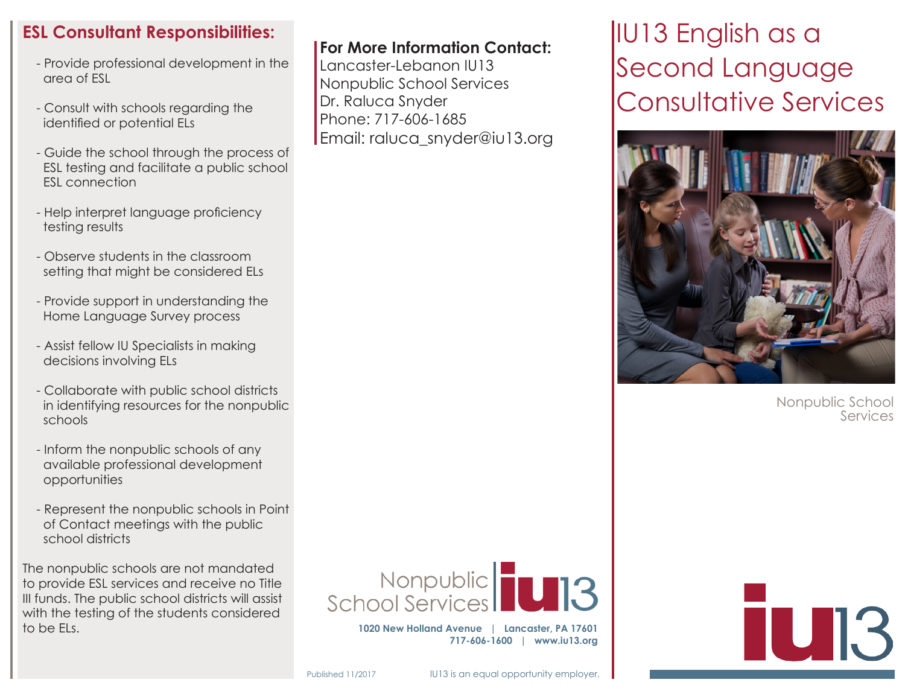## **ESL Consultant Responsibilities:**

- Provide professional development in the area of ESL
- Consult with schools regarding the identified or potential ELs
- Guide the school through the process of ESL testing and facilitate a public school ESL connection
- Help interpret language proficiency testing results
- Observe students in the classroom setting that might be considered ELs
- Provide support in understanding the Home Language Survey process
- Assist fellow IU Specialists in making decisions involving ELs
- Collaborate with public school districts in identifying resources for the nonpublic schools
- Inform the nonpublic schools of any available professional development opportunities
- Represent the nonpublic schools in Point of Contact meetings with the public school districts

The nonpublic schools are not mandated to provide ESL services and receive no Title III funds. The public school districts will assist with the testing of the students considered to be ELs.

### **For More Information Contact:**

Lancaster-Lebanon IU13 Nonpublic School Services Dr. Raluca Snyder Phone: 717-606-1685 Email: raluca\_snyder@iu13.org IU13 English as a Second Language Consultative Services



Nonpublic School **Services** 



**1020 New Holland Avenue | Lancaster, PA 17601 717-606-1600 | www.iu13.org**